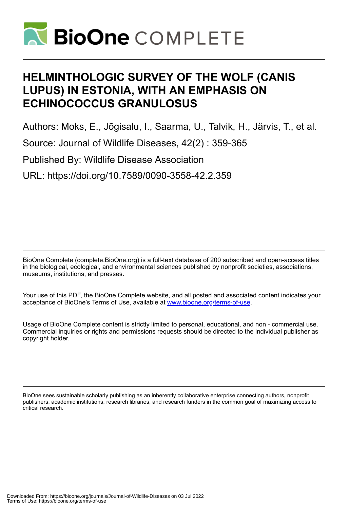

# **HELMINTHOLOGIC SURVEY OF THE WOLF (CANIS LUPUS) IN ESTONIA, WITH AN EMPHASIS ON ECHINOCOCCUS GRANULOSUS**

Authors: Moks, E., Jõgisalu, I., Saarma, U., Talvik, H., Järvis, T., et al.

Source: Journal of Wildlife Diseases, 42(2) : 359-365

Published By: Wildlife Disease Association

URL: https://doi.org/10.7589/0090-3558-42.2.359

BioOne Complete (complete.BioOne.org) is a full-text database of 200 subscribed and open-access titles in the biological, ecological, and environmental sciences published by nonprofit societies, associations, museums, institutions, and presses.

Your use of this PDF, the BioOne Complete website, and all posted and associated content indicates your acceptance of BioOne's Terms of Use, available at www.bioone.org/terms-of-use.

Usage of BioOne Complete content is strictly limited to personal, educational, and non - commercial use. Commercial inquiries or rights and permissions requests should be directed to the individual publisher as copyright holder.

BioOne sees sustainable scholarly publishing as an inherently collaborative enterprise connecting authors, nonprofit publishers, academic institutions, research libraries, and research funders in the common goal of maximizing access to critical research.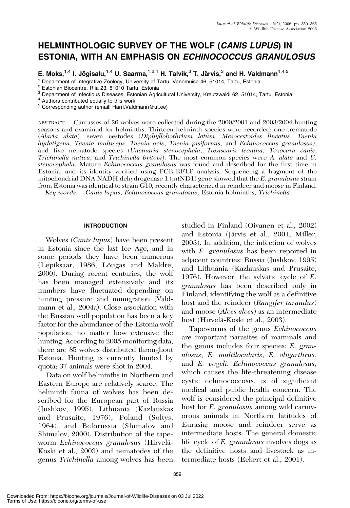# HELMINTHOLOGIC SURVEY OF THE WOLF (CANIS LUPUS) IN ESTONIA, WITH AN EMPHASIS ON ECHINOCOCCUS GRANULOSUS

E. Moks,<sup>1,4</sup> I. Jõqisalu,<sup>1,4</sup> U. Saarma,<sup>1,2,4</sup> H. Talvik,<sup>3</sup> T. Järvis,<sup>3</sup> and H. Valdmann<sup>1,4,5</sup>

<sup>1</sup> Department of Integrative Zoology, University of Tartu, Vanemuise 46, 51014, Tartu, Estonia <sup>2</sup> Estonian Biocentre, Riia 23, 51010 Tartu, Estonia

 $3$  Department of Infectious Diseases, Estonian Agricultural University, Kreutzwaldi 62, 51014, Tartu, Estonia  $4$  Authors contributed equally to this work

<sup>5</sup> Corresponding author (email: Harri.Valdmann@ut.ee)

ABSTRACT: Carcasses of 26 wolves were collected during the 2000/2001 and 2003/2004 hunting seasons and examined for helminths. Thirteen helminth species were recorded: one trematode (Alaria alata), seven cestodes (Diphyllobothrium latum, Mesocestoides lineatus, Taenia hydatigena, Taenia multiceps, Taenia ovis, Taenia pisiformis, and Echinococcus granulosus), and five nematode species (Uncinaria stenocephala, Toxascaris leonina, Toxocara canis, Trichinella nativa, and Trichinella britovi). The most common species were A. alata and U. stenocephala. Mature Echinococcus granulosus was found and described for the first time in Estonia, and its identity verified using PCR-RFLP analysis. Sequencing a fragment of the mitochondrial DNA NADH dehydrogenase 1 (mtND1) gene showed that the E. granulosus strain from Estonia was identical to strain G10, recently characterized in reindeer and moose in Finland.

Key words: Canis lupus, Echinococcus granulosus, Estonia helminths, Trichinella.

# **INTRODUCTION**

Wolves (Canis lupus) have been present in Estonia since the last Ice Age, and in some periods they have been numerous (Lepiksaar, 1986; Lõugas and Maldre, 2000). During recent centuries, the wolf has been managed extensively and its numbers have fluctuated depending on hunting pressure and immigration (Valdmann et al., 2004a). Close association with the Russian wolf population has been a key factor for the abundance of the Estonia wolf population, no matter how extensive the hunting. According to 2005 monitoring data, there are 85 wolves distributed throughout Estonia. Hunting is currently limited by quota; 37 animals were shot in 2004.

Data on wolf helminths in Northern and Eastern Europe are relatively scarce. The helminth fauna of wolves has been described for the European part of Russia (Jushkov, 1995), Lithuania (Kazlauskas and Prusaite, 1976), Poland (Soltys, 1964), and Belorussia (Shimalov and Shimalov, 2000). Distribution of the tapeworm Echinococcus granulosus (Hirvelä-Koski et al., 2003) and nematodes of the genus Trichinella among wolves has been

studied in Finland (Oivanen et al., 2002) and Estonia (Järvis et al., 2001; Miller, 2003). In addition, the infection of wolves with E. *granulosus* has been reported in adjacent countries: Russia (Jushkov, 1995) and Lithuania (Kazlauskas and Prusaite, 1976). However, the sylvatic cycle of E. granulosus has been described only in Finland, identifying the wolf as a definitive host and the reindeer (Rangifer tarandus) and moose (*Alces alces*) as an intermediate host (Hirvelä-Koski et al., 2003).

Tapeworms of the genus Echinococcus are important parasites of mammals and the genus includes four species: E. granulosus, E. multilocularis, E. oligarthrus, and E. vogeli. Echinococcus granulosus, which causes the life-threatening disease cystic echinococcosis, is of significant medical and public health concern. The wolf is considered the principal definitive host for *E. granulosus* among wild carnivorous animals in Northern latitudes of Eurasia; moose and reindeer serve as intermediate hosts. The general domestic life cycle of E. granulosus involves dogs as the definitive hosts and livestock as intermediate hosts (Eckert et al., 2001).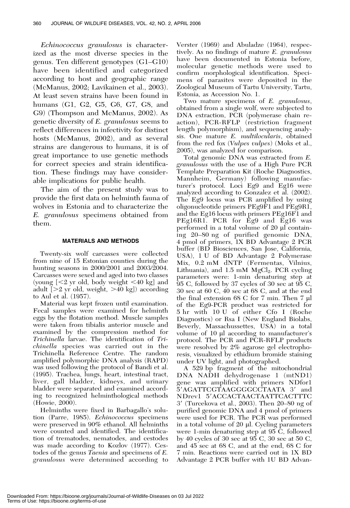Echinococcus granulosus is characterized as the most diverse species in the genus. Ten different genotypes (G1–G10) have been identified and categorized according to host and geographic range (McManus, 2002; Lavikainen et al., 2003). At least seven strains have been found in humans (G1, G2, G5, G6, G7, G8, and G9) (Thompson and McManus, 2002). As genetic diversity of E. granulosus seems to reflect differences in infectivity for distinct hosts (McManus, 2002), and as several strains are dangerous to humans, it is of great importance to use genetic methods for correct species and strain identification. These findings may have considerable implications for public health.

The aim of the present study was to provide the first data on helminth fauna of wolves in Estonia and to characterize the E. granulosus specimens obtained from them.

# MATERIALS AND METHODS

Twenty-six wolf carcasses were collected from nine of 15 Estonian counties during the hunting seasons in 2000/2001 and 2003/2004. Carcasses were sexed and aged into two classes (young  $\leq 2$  yr old, body weight  $\leq 40$  kg] and adult  $[>2$  yr old, weight,  $>40$  kg]) according to Aul et al. (1957).

Material was kept frozen until examination. Fecal samples were examined for helminth eggs by the flotation method. Muscle samples were taken from tibialis anterior muscle and examined by the compression method for Trichinella larvae. The identification of Trichinella species was carried out in the Trichinella Reference Centre. The random amplified polymorphic DNA analysis (RAPD) was used following the protocol of Bandi et al. (1995). Trachea, lungs, heart, intestinal tract, liver, gall bladder, kidneys, and urinary bladder were separated and examined according to recognized helminthological methods (Howie, 2000).

Helminths were fixed in Barbagallo's solution (Parre, 1985). Echinococcus specimens were preserved in 90% ethanol. All helminths were counted and identified. The identification of trematodes, nematodes, and cestodes was made according to Kozlov (1977). Cestodes of the genus Taenia and specimens of E. granulosus were determined according to

Verster (1969) and Abuladze (1964), respectively. As no findings of mature E. granulosus have been documented in Estonia before, molecular genetic methods were used to confirm morphological identification. Specimens of parasites were deposited in the Zoological Museum of Tartu University, Tartu, Estonia, as Accession No. 1.

Two mature specimens of E. granulosus, obtained from a single wolf, were subjected to DNA extraction, PCR (polymerase chain reaction), PCR-RFLP (restriction fragment length polymorphism), and sequencing analysis. One mature E. multilocularis, obtained from the red fox (*Vulpes vulpes*) (Moks et al., 2005), was analyzed for comparison.

Total genomic DNA was extracted from E. granulosus with the use of a High Pure PCR Template Preparation Kit (Roche Diagnostics, Mannheim, Germany) following manufacturer's protocol. Loci Eg9 and Eg16 were analyzed according to Gonzalez et al. (2002). The Eg9 locus was PCR amplified by using oligonucleotide primers PEg9F1 and PEg9R1, and the Eg16 locus with primers PEg16F1 and PEg16R1. PCR for Eg9 and Eg16 was performed in a total volume of 20 µl containing 20–80 ng of purified genomic DNA, 4 pmol of primers, 1X BD Advantage 2 PCR buffer (BD Biosciences, San Jose, California, USA), 1 U of BD Advantage 2 Polymerase Mix, 0.2 mM dNTP (Fermentas, Vilnius, Lithuania), and  $1.5 \text{ mM } MgCl_2$ . PCR cycling parameters were: 1-min denaturing step at 95 C, followed by 37 cycles of 30 sec at 95 C, 30 sec at 60 C, 40 sec at 68 C, and at the end the final extension 68 C for 7 min. Then 7 µl of the Eg9-PCR product was restricted for 5 hr with 10 U of either Cfo I (Roche Diagnostics) or Rsa I (New England Biolabs, Beverly, Massachussettes, USA) in a total volume of  $10 \mu l$  according to manufacturer's protocol. The PCR and PCR-RFLP products were resolved by 2% agarose gel electrophoresis, visualized by ethidium bromide staining under UV light, and photographed.

A 529 bp fragment of the mitochondrial DNA NADH dehydrogenase 1 (mtND1) gene was amplified with primers NDfor1 5'AGATTCGTAAGGGGCCTAATA 3' and NDrev1 5'ACCACTAACTAATTCACTTTC 39 (Turcekova et al., 2003). Then 20–80 ng of purified genomic DNA and 4 pmol of primers were used for PCR. The PCR was performed in a total volume of  $20 \mu$ . Cycling parameters were 1-min denaturing step at 95 C, followed by 40 cycles of 30 sec at 95 C, 30 sec at 50 C, and 45 sec at 68 C, and at the end, 68 C for 7 min. Reactions were carried out in 1X BD Advantage 2 PCR buffer with 1U BD Advan-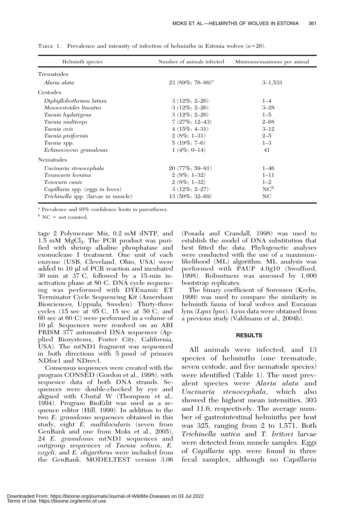| Helminth species                    | Number of animals infected | Minimum/maximum per animal |
|-------------------------------------|----------------------------|----------------------------|
| Trematodes                          |                            |                            |
| Alaria alata                        | $23(89\%; 76-99)^{a}$      | $3 - 1,533$                |
| Cestodes                            |                            |                            |
| Diphyllobothrium latum              | $3(12\%; 2-26)$            | $1 - 4$                    |
| Mesocestoides lineatus              | $3(12\%; 2-26)$            | $3 - 28$                   |
| Taenia hydatigena                   | $3(12\%; 2-26)$            | $1 - 5$                    |
| Taenia multiceps                    | $7(27\%; 12-43)$           | $2 - 68$                   |
| <i>Taenia ovis</i>                  | $4(15\%; 4-31)$            | $3 - 12$                   |
| Taenia pisiformis                   | $2(8\%; 1-31)$             | $2 - 5$                    |
| Taenia spp.                         | $5(19\%; 7-6)$             | $1 - 3$                    |
| Echinococcus granulosus             | $1(4\%, 0-14)$             | 41                         |
| Nematodes                           |                            |                            |
| Uncinaria stenocephala              | $20(77\%; 59-91)$          | $1 - 46$                   |
| Toxascaris leonina                  | $2(8\%; 1-32)$             | $1 - 11$                   |
| Toxocara canis                      | $2(8\%; 1-32)$             | $1 - 2$                    |
| Capillaria spp. (eggs in feces)     | $3(12\%; 2-27)$            | $NC^b$                     |
| Trichinella spp. (larvae in muscle) | $13(50\%; 32-69)$          | NC                         |

TABLE 1. Prevalence and intensity of infection of helminths in Estonia wolves  $(n=26)$ .

<sup>a</sup> Prevalence and 95% confidence limits in parentheses.

 $b$  NC = not counted.

tage 2 Polymerase Mix, 0.2 mM dNTP, and  $1.5 \text{ mM } MgCl<sub>2</sub>$ . The PCR product was purified with shrimp alkaline phosphatase and exonuclease I treatment. One unit of each enzyme (USB, Cleveland, Ohio, USA) were added to 10 µl of PCR reaction and incubated 30 min at 37 C, followed by a 15-min inactivation phase at 80 C. DNA cycle sequencing was performed with DYEnamic ET Terminator Cycle Sequencing Kit (Amersham Biosciences, Uppsala, Sweden). Thirty-three cycles (15 sec at 95 C, 15 sec at 50 C, and 60 sec at 60 C) were performed in a volume of 10 ml. Sequences were resolved on an ABI PRISM 377 automated DNA sequencer (Applied Biosystems, Foster City, California, USA). The mtND1 fragment was sequenced in both directions with 5 pmol of primers NDfor1 and NDrev1.

Consensus sequences were created with the program CONSED (Gordon et al., 1998), with sequence data of both DNA strands. Sequences were double-checked by eye and aligned with Clustal W (Thompson et al., 1994). Program BioEdit was used as a sequence editor (Hill, 1999). In addition to the two E. granulosus sequences obtained in this study, eight E. multilocularis (seven from GenBank and one from Moks et al., 2005), 24 E. granulosus mtND1 sequences and outgroup sequences of Taenia solium, E. vogeli, and E. oligarthrus were included from the GenBank. MODELTEST version 3.06 (Posada and Crandall, 1998) was used to establish the model of DNA substitution that best fitted the data. Phylogenetic analyses were conducted with the use of a maximumlikelihood (ML) algorithm. ML analysis was performed with PAUP 4.0g10 (Swofford, 1998). Robustness was assessed by 1,000 bootstrap replicates.

The binary coefficient of Sorensen (Krebs, 1999) was used to compare the similarity in helminth fauna of local wolves and Eurasian lynx (Lynx lynx). Lynx data were obtained from a previous study (Valdmann et al., 2004b).

#### RESULTS

All animals were infected, and 13 species of helminths (one trematode, seven cestode, and five nematode species) were identified (Table 1). The most prevalent species were Alaria alata and Uncinaria stenocephala, which also showed the highest mean intensities, 303 and 11.6, respectively. The average number of gastrointestinal helminths per host was 325, ranging from 2 to 1,571. Both Trichinella nativa and T. britovi larvae were detected from muscle samples. Eggs of *Capillaria* spp. were found in three fecal samples, although no Capillaria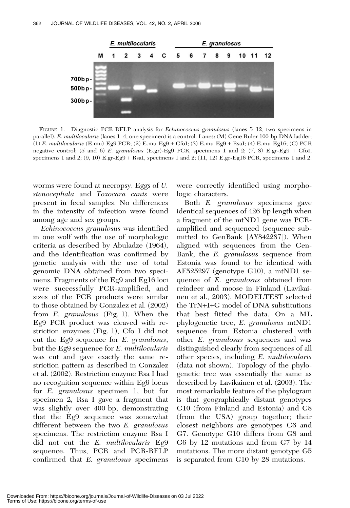

FIGURE 1. Diagnostic PCR-RFLP analysis for Echinococcus granulosus (lanes 5–12, two specimens in parallel). E. multilocularis (lanes 1–4, one specimen) is a control. Lanes: (M) Gene Ruler 100 bp DNA ladder; (1) E. multilocularis (E.mu)-Eg9 PCR; (2) E.mu-Eg9 + CfoI; (3) E.mu-Eg9 + RsaI; (4) E.mu-Eg16; (C) PCR negative control; (5 and 6) E. granulosus (E.gr)-Eg9 PCR, specimens 1 and 2; (7, 8) E.gr-Eg9 + CfoI, specimens 1 and 2; (9, 10) E.gr-Eg9 + RsaI, specimens 1 and 2; (11, 12) E.gr-Eg16 PCR, specimens 1 and 2.

worms were found at necropsy. Eggs of U. stenocephala and Toxocara canis were present in fecal samples. No differences in the intensity of infection were found among age and sex groups.

Echinococcus granulosus was identified in one wolf with the use of morphologic criteria as described by Abuladze (1964), and the identification was confirmed by genetic analysis with the use of total genomic DNA obtained from two specimens. Fragments of the Eg9 and Eg16 loci were successfully PCR-amplified, and sizes of the PCR products were similar to those obtained by Gonzalez et al. (2002) from E. granulosus (Fig. 1). When the Eg9 PCR product was cleaved with restriction enzymes (Fig. 1), Cfo I did not cut the Eg9 sequence for E. granulosus, but the Eg9 sequence for E. multilocularis was cut and gave exactly the same restriction pattern as described in Gonzalez et al. (2002). Restriction enzyme Rsa I had no recognition sequence within Eg9 locus for E. granulosus specimen 1, but for specimen 2, Rsa I gave a fragment that was slightly over 400 bp, demonstrating that the Eg9 sequence was somewhat different between the two E. granulosus specimens. The restriction enzyme Rsa I did not cut the E. multilocularis Eg9 sequence. Thus, PCR and PCR-RFLP confirmed that E. granulosus specimens

were correctly identified using morphologic characters.

Both E. granulosus specimens gave identical sequences of 426 bp length when a fragment of the mtND1 gene was PCRamplified and sequenced (sequence submitted to GenBank [AY842287]). When aligned with sequences from the Gen-Bank, the E. granulosus sequence from Estonia was found to be identical with AF525297 (genotype G10), a mtND1 sequence of E. granulosus obtained from reindeer and moose in Finland (Lavikainen et al., 2003). MODELTEST selected the TrN+I+G model of DNA substitutions that best fitted the data. On a ML phylogenetic tree, E. granulosus mtND1 sequence from Estonia clustered with other E. granulosus sequences and was distinguished clearly from sequences of all other species, including E. multilocularis (data not shown). Topology of the phylogenetic tree was essentially the same as described by Lavikainen et al. (2003). The most remarkable feature of the phylogram is that geographically distant genotypes G10 (from Finland and Estonia) and G8 (from the USA) group together; their closest neighbors are genotypes G6 and G7. Genotype G10 differs from G8 and G6 by 12 mutations and from G7 by 14 mutations. The more distant genotype G5 is separated from G10 by 28 mutations.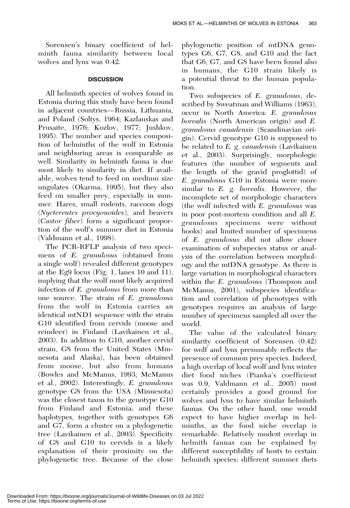Sorensen's binary coefficient of helminth fauna similarity between local wolves and lynx was 0.42.

# **DISCUSSION**

All helminth species of wolves found in Estonia during this study have been found in adjacent countries—Russia, Lithuania, and Poland (Soltys, 1964; Kazlauskas and Prusaite, 1976; Kozlov, 1977; Jushkov, 1995). The number and species composition of helminths of the wolf in Estonia and neighboring areas is comparable as well. Similarity in helminth fauna is due most likely to similarity in diet. If available, wolves tend to feed on medium size ungulates (Okarma, 1995), but they also feed on smaller prey, especially in summer. Hares, small rodents, raccoon dogs (Nyctereutes procyonoides), and beavers (Castor fiber) form a significant proportion of the wolf's summer diet in Estonia (Valdmann et al., 1998).

The PCR-RFLP analysis of two specimens of E. granulosus (obtained from a single wolf) revealed different genotypes at the Eg9 locus (Fig. 1, lanes 10 and 11), implying that the wolf most likely acquired infection of E. granulosus from more than one source. The strain of E. granulosus from the wolf in Estonia carries an identical mtND1 sequence with the strain G10 identified from cervids (moose and reindeer) in Finland (Lavikainen et al., 2003). In addition to G10, another cervid strain, G8 from the United States (Minnesota and Alaska), has been obtained from moose, but also from humans (Bowles and McManus, 1993; McManus et al., 2002). Interestingly, E. granulosus genotype G8 from the USA (Minnesota) was the closest taxon to the genotype G10 from Finland and Estonia; and these haplotypes, together with genotypes G6 and G7, form a cluster on a phylogenetic tree (Lavikainen et al., 2003). Specificity of G8 and G10 to cervids is a likely explanation of their proximity on the phylogenetic tree. Because of the close

phylogenetic position of mtDNA genotypes G6, G7, G8, and G10 and the fact that G6, G7, and G8 have been found also in humans, the G10 strain likely is a potential threat to the human population.

Two subspecies of E. granulosus, described by Sweatman and Williams (1963), occur in North America: E. granulosus borealis (North American origin) and E. granulosus canadensis (Scandinavian origin). Cervid genotype G10 is supposed to be related to E. g. *canadensis* (Lavikainen et al., 2003). Surprisingly, morphologic features (the number of segments and the length of the gravid proglottid) of E. granulosus G10 in Estonia were more similar to E. g. *borealis*. However, the incomplete set of morphologic characters (the wolf infected with E. granulosus was in poor post-mortem condition and all E. granulosus specimens were without hooks) and limited number of specimens of E. granulosus did not allow closer examination of subspecies status or analysis of the correlation between morphology and the mtDNA genotype. As there is large variation in morphological characters within the *E. granulosus* (Thompson and McManus, 2001), subspecies identification and correlation of phenotypes with genotypes requires an analysis of large number of specimens sampled all over the world.

The value of the calculated binary similarity coefficient of Sorensen (0.42) for wolf and lynx presumably reflects the presence of common prey species. Indeed, a high overlap of local wolf and lynx winter diet food niches (Pianka's coefficient was 0.9, Valdmann et al., 2005) most certainly provides a good ground for wolves and lynx to have similar helminth faunas. On the other hand, one would expect to have higher overlap in helminths, as the food niche overlap is remarkable. Relatively modest overlap in helmith faunas can be explained by different susceptibility of hosts to certain helminth species; different summer diets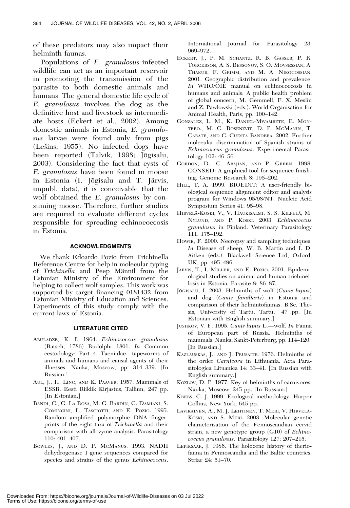of these predators may also impact their helminth faunas.

Populations of E. granulosus-infected wildlife can act as an important reservoir in promoting the transmission of the parasite to both domestic animals and humans. The general domestic life cycle of E. granulosus involves the dog as the definitive host and livestock as intermediate hosts (Eckert et al., 2002). Among domestic animals in Estonia, E. granulosus larvae were found only from pigs  $(Lešins, 1955)$ . No infected dogs have been reported (Talvik, 1998; Jõgisalu, 2003). Considering the fact that cysts of E. granulosus have been found in moose in Estonia (I. Jõgisalu and T. Järvis, unpubl. data), it is conceivable that the wolf obtained the E. granulosus by consuming moose. Therefore, further studies are required to evaluate different cycles responsible for spreading echinococcosis in Estonia.

# ACKNOWLEDGMENTS

We thank Edoardo Pozio from Trichinella Reference Centre for help in molecular typing of Trichinella and Peep Männil from the Estonian Ministry of the Environment for helping to collect wolf samples. This work was supported by target financing 0181432 from Estonian Ministry of Education and Sciences. Experiments of this study comply with the current laws of Estonia.

#### LITERATURE CITED

- ABULADZE, K. I. 1964. Echinococcus granulosus (Batsch, 1786) Rudolphi 1801. In Common cestodology: Part 4. Taeniidae—tapeworms of animals and humans and causal agents of their illnesses. Nauka, Moscow, pp. 314–339. [In Russian.]
- AUL, J., H. LING, AND K. PAAVER. 1957. Mammals of ESSR. Eesti Riiklik Kirjastus, Tallinn, 247 pp. [In Estonian.]
- BANDI, C., G. LA ROSA, M. G. BARDIN, G. DAMIANI, S. COMINCINI, L. TASCIOTTI, AND E. POZIO. 1995. Random amplified polymorphic DNA fingerprints of the eight taxa of Trichinella and their comparison with allozyme analysis. Parasitology 110: 401–407.
- BOWLES, J., AND D. P. MCMANUS. 1993. NADH dehydrogenase I gene sequences compared for species and strains of the genus Echinococcus.

International Journal for Parasitology 23: 969–972.

- ECKERT, J., P. M. SCHANTZ, R. B. GASSER, P. R. TORGERSON, A. S. BESSONOV, S. O. MOVSESSIAN, A. THAKUR, F. GRIMM, AND M. A. NIKOGOSSIAN. 2001. Geographic distribution and prevalence. In WHO/OIE manual on echinococcosis in humans and animals: A public health problem of global concern, M. Gemmell, F. X. Meslin and Z. Pawlowski (eds.). World Organisation for Animal Health, Paris, pp. 100–142.
- GONZALEZ, L. M., K. DANIEL-MWAMBETE, E. MON-TERO., M. C. ROSENZVIT, D. P. MCMANUS, T. CARATE, AND C. CUESTA-BANDERA. 2002. Further molecular discrimination of Spanish strains of Echinococcus granulosus. Experimental Parasitology 102: 46–56.
- GORDON, D., C. ABAJIAN, AND P. GREEN. 1998. CONSED: A graphical tool for sequence finishing. Genome Research 8: 195–202.
- HILL, T. A. 1999. BIOEDIT: A user-friendly biological sequence alignment editor and analysis program for Windows 95/98/NT. Nucleic Acid Symposium Series 41: 95–98.
- HIRVELÄ-KOSKI, V., V. HAUKISALMI, S. S. KILPELÄ, M. NYLUND, AND P. KOSKI. 2003. Echinococcus granulosus in Finland. Veterinary Parasitology 111: 175–192.
- HOWIE, F. 2000. Necropsy and sampling techniques. In Disease of sheep, W. B. Martin and I. D. Aitken (eds.). Blackwell Science Ltd, Oxford, UK, pp. 495–496.
- JÄRVIS, T., I. MILLER, AND E. POZIO. 2001. Epidemiological studies on animal and human trichinellosis in Estonia. Parasite 8: 86–87.
- JÕGISALU, I. 2003. Helminths of wolf (Canis lupus) and dog (Canis familiaris) in Estonia and comparison of their helmintofaunas. B.Sc. Thesis, University of Tartu, Tartu, 47 pp. [In Estonian with English summary.]
- JUSHKOV, V. F. 1995. Canis lupus L.—wolf. In Fauna of European part of Russia. Helminths of mammals. Nauka, Sankt-Peterburg, pp. 114–120. [In Russian.]
- KAZLAUSKAS, J., AND J. PRUSAITE. 1976. Helminths of the order Carnivora in Lithuania. Acta Parasitologica Lituanica 14: 33–41. [In Russian with English summary.]
- KOZLOV, D. P. 1977. Key of helminths of carnivores. Nauka, Moscow, 245 pp. [In Russian.]
- KREBS, C. J. 1999. Ecological methodology. Harper Collins, New York, 645 pp.
- LAVIKAINEN, A., M. J. LEHTINEN, T. MERI, V. HIRVELÄ-KOSKI, AND S. MERI. 2003. Molecular genetic characterisation of the Fennoscandian cervid strain, a new genotype group (G10) of Echinococcus granulosus. Parasitology 127: 207–215.
- LEPIKSAAR, J. 1986. The holocene history of theriofauna in Fennoscandia and the Baltic countries. Striae 24: 51–70.